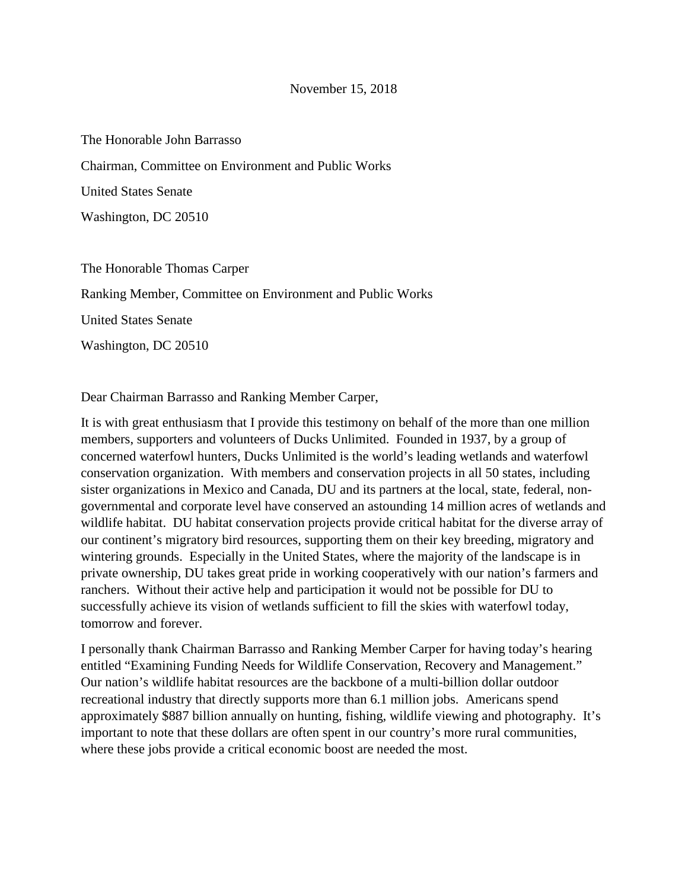The Honorable John Barrasso Chairman, Committee on Environment and Public Works United States Senate Washington, DC 20510

The Honorable Thomas Carper

Ranking Member, Committee on Environment and Public Works

United States Senate

Washington, DC 20510

Dear Chairman Barrasso and Ranking Member Carper,

It is with great enthusiasm that I provide this testimony on behalf of the more than one million members, supporters and volunteers of Ducks Unlimited. Founded in 1937, by a group of concerned waterfowl hunters, Ducks Unlimited is the world's leading wetlands and waterfowl conservation organization. With members and conservation projects in all 50 states, including sister organizations in Mexico and Canada, DU and its partners at the local, state, federal, nongovernmental and corporate level have conserved an astounding 14 million acres of wetlands and wildlife habitat. DU habitat conservation projects provide critical habitat for the diverse array of our continent's migratory bird resources, supporting them on their key breeding, migratory and wintering grounds. Especially in the United States, where the majority of the landscape is in private ownership, DU takes great pride in working cooperatively with our nation's farmers and ranchers. Without their active help and participation it would not be possible for DU to successfully achieve its vision of wetlands sufficient to fill the skies with waterfowl today, tomorrow and forever.

I personally thank Chairman Barrasso and Ranking Member Carper for having today's hearing entitled "Examining Funding Needs for Wildlife Conservation, Recovery and Management." Our nation's wildlife habitat resources are the backbone of a multi-billion dollar outdoor recreational industry that directly supports more than 6.1 million jobs. Americans spend approximately \$887 billion annually on hunting, fishing, wildlife viewing and photography. It's important to note that these dollars are often spent in our country's more rural communities, where these jobs provide a critical economic boost are needed the most.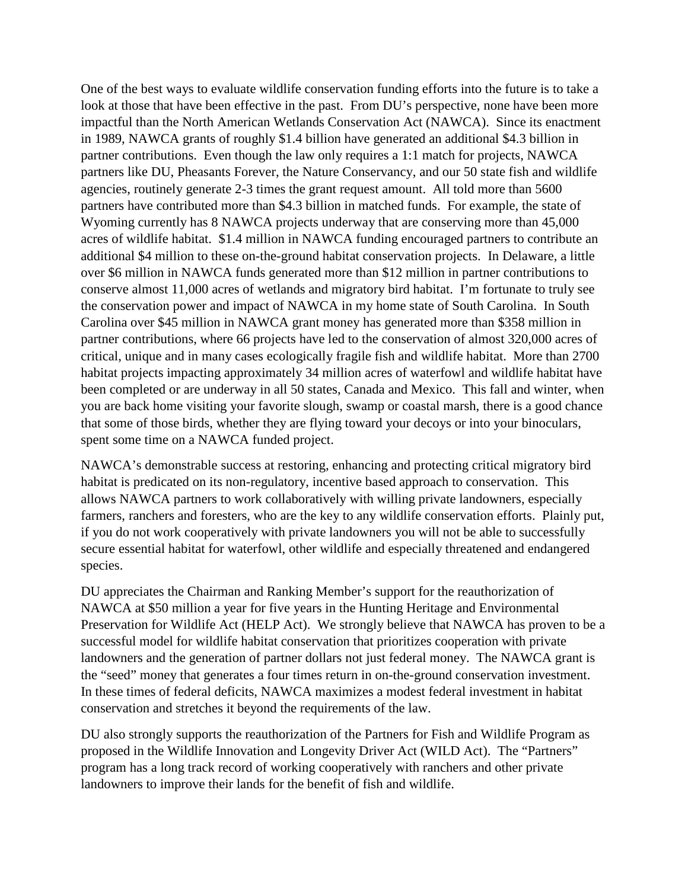One of the best ways to evaluate wildlife conservation funding efforts into the future is to take a look at those that have been effective in the past. From DU's perspective, none have been more impactful than the North American Wetlands Conservation Act (NAWCA). Since its enactment in 1989, NAWCA grants of roughly \$1.4 billion have generated an additional \$4.3 billion in partner contributions. Even though the law only requires a 1:1 match for projects, NAWCA partners like DU, Pheasants Forever, the Nature Conservancy, and our 50 state fish and wildlife agencies, routinely generate 2-3 times the grant request amount. All told more than 5600 partners have contributed more than \$4.3 billion in matched funds. For example, the state of Wyoming currently has 8 NAWCA projects underway that are conserving more than 45,000 acres of wildlife habitat. \$1.4 million in NAWCA funding encouraged partners to contribute an additional \$4 million to these on-the-ground habitat conservation projects. In Delaware, a little over \$6 million in NAWCA funds generated more than \$12 million in partner contributions to conserve almost 11,000 acres of wetlands and migratory bird habitat. I'm fortunate to truly see the conservation power and impact of NAWCA in my home state of South Carolina. In South Carolina over \$45 million in NAWCA grant money has generated more than \$358 million in partner contributions, where 66 projects have led to the conservation of almost 320,000 acres of critical, unique and in many cases ecologically fragile fish and wildlife habitat. More than 2700 habitat projects impacting approximately 34 million acres of waterfowl and wildlife habitat have been completed or are underway in all 50 states, Canada and Mexico. This fall and winter, when you are back home visiting your favorite slough, swamp or coastal marsh, there is a good chance that some of those birds, whether they are flying toward your decoys or into your binoculars, spent some time on a NAWCA funded project.

NAWCA's demonstrable success at restoring, enhancing and protecting critical migratory bird habitat is predicated on its non-regulatory, incentive based approach to conservation. This allows NAWCA partners to work collaboratively with willing private landowners, especially farmers, ranchers and foresters, who are the key to any wildlife conservation efforts. Plainly put, if you do not work cooperatively with private landowners you will not be able to successfully secure essential habitat for waterfowl, other wildlife and especially threatened and endangered species.

DU appreciates the Chairman and Ranking Member's support for the reauthorization of NAWCA at \$50 million a year for five years in the Hunting Heritage and Environmental Preservation for Wildlife Act (HELP Act). We strongly believe that NAWCA has proven to be a successful model for wildlife habitat conservation that prioritizes cooperation with private landowners and the generation of partner dollars not just federal money. The NAWCA grant is the "seed" money that generates a four times return in on-the-ground conservation investment. In these times of federal deficits, NAWCA maximizes a modest federal investment in habitat conservation and stretches it beyond the requirements of the law.

DU also strongly supports the reauthorization of the Partners for Fish and Wildlife Program as proposed in the Wildlife Innovation and Longevity Driver Act (WILD Act). The "Partners" program has a long track record of working cooperatively with ranchers and other private landowners to improve their lands for the benefit of fish and wildlife.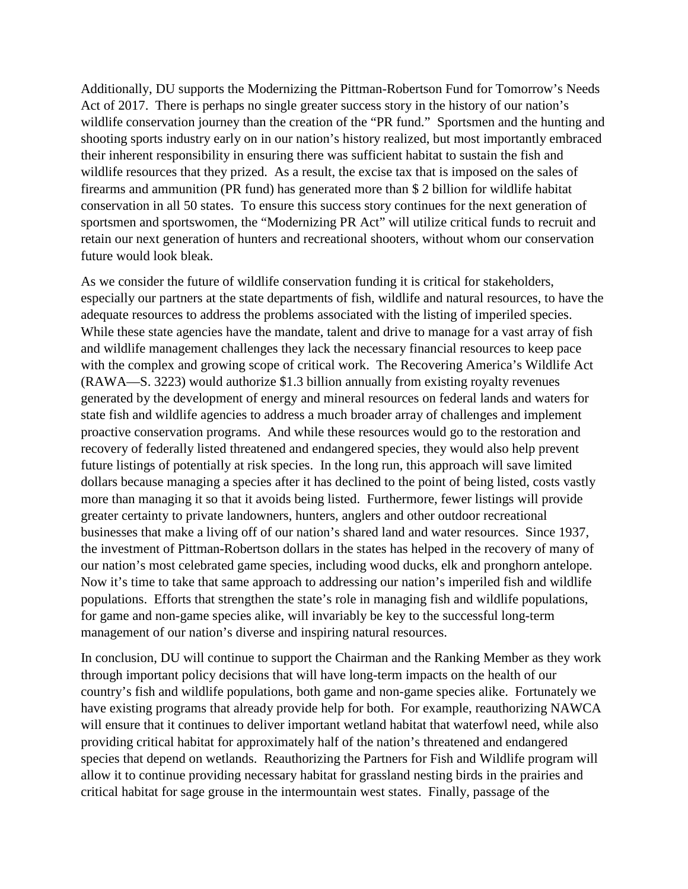Additionally, DU supports the Modernizing the Pittman-Robertson Fund for Tomorrow's Needs Act of 2017. There is perhaps no single greater success story in the history of our nation's wildlife conservation journey than the creation of the "PR fund." Sportsmen and the hunting and shooting sports industry early on in our nation's history realized, but most importantly embraced their inherent responsibility in ensuring there was sufficient habitat to sustain the fish and wildlife resources that they prized. As a result, the excise tax that is imposed on the sales of firearms and ammunition (PR fund) has generated more than \$ 2 billion for wildlife habitat conservation in all 50 states. To ensure this success story continues for the next generation of sportsmen and sportswomen, the "Modernizing PR Act" will utilize critical funds to recruit and retain our next generation of hunters and recreational shooters, without whom our conservation future would look bleak.

As we consider the future of wildlife conservation funding it is critical for stakeholders, especially our partners at the state departments of fish, wildlife and natural resources, to have the adequate resources to address the problems associated with the listing of imperiled species. While these state agencies have the mandate, talent and drive to manage for a vast array of fish and wildlife management challenges they lack the necessary financial resources to keep pace with the complex and growing scope of critical work. The Recovering America's Wildlife Act (RAWA—S. 3223) would authorize \$1.3 billion annually from existing royalty revenues generated by the development of energy and mineral resources on federal lands and waters for state fish and wildlife agencies to address a much broader array of challenges and implement proactive conservation programs. And while these resources would go to the restoration and recovery of federally listed threatened and endangered species, they would also help prevent future listings of potentially at risk species. In the long run, this approach will save limited dollars because managing a species after it has declined to the point of being listed, costs vastly more than managing it so that it avoids being listed. Furthermore, fewer listings will provide greater certainty to private landowners, hunters, anglers and other outdoor recreational businesses that make a living off of our nation's shared land and water resources. Since 1937, the investment of Pittman-Robertson dollars in the states has helped in the recovery of many of our nation's most celebrated game species, including wood ducks, elk and pronghorn antelope. Now it's time to take that same approach to addressing our nation's imperiled fish and wildlife populations. Efforts that strengthen the state's role in managing fish and wildlife populations, for game and non-game species alike, will invariably be key to the successful long-term management of our nation's diverse and inspiring natural resources.

In conclusion, DU will continue to support the Chairman and the Ranking Member as they work through important policy decisions that will have long-term impacts on the health of our country's fish and wildlife populations, both game and non-game species alike. Fortunately we have existing programs that already provide help for both. For example, reauthorizing NAWCA will ensure that it continues to deliver important wetland habitat that waterfowl need, while also providing critical habitat for approximately half of the nation's threatened and endangered species that depend on wetlands. Reauthorizing the Partners for Fish and Wildlife program will allow it to continue providing necessary habitat for grassland nesting birds in the prairies and critical habitat for sage grouse in the intermountain west states. Finally, passage of the